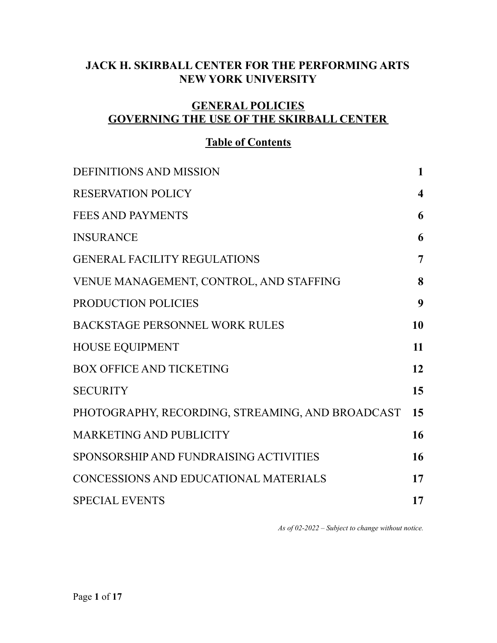# **JACK H. SKIRBALL CENTER FOR THE PERFORMING ARTS NEW YORK UNIVERSITY**

# **GENERAL POLICIES GOVERNING THE USE OF THE SKIRBALL CENTER**

# **Table of Contents**

| <b>DEFINITIONS AND MISSION</b>                   | $\mathbf{1}$            |
|--------------------------------------------------|-------------------------|
| <b>RESERVATION POLICY</b>                        | $\overline{\mathbf{4}}$ |
| FEES AND PAYMENTS                                | 6                       |
| <b>INSURANCE</b>                                 | 6                       |
| <b>GENERAL FACILITY REGULATIONS</b>              | $\overline{7}$          |
| VENUE MANAGEMENT, CONTROL, AND STAFFING          | 8                       |
| PRODUCTION POLICIES                              | 9                       |
| BACKSTAGE PERSONNEL WORK RULES                   | 10                      |
| <b>HOUSE EQUIPMENT</b>                           | 11                      |
| <b>BOX OFFICE AND TICKETING</b>                  | 12                      |
| <b>SECURITY</b>                                  | 15                      |
| PHOTOGRAPHY, RECORDING, STREAMING, AND BROADCAST | 15                      |
| <b>MARKETING AND PUBLICITY</b>                   | 16                      |
| SPONSORSHIP AND FUNDRAISING ACTIVITIES           | 16                      |
| CONCESSIONS AND EDUCATIONAL MATERIALS            | 17                      |
| <b>SPECIAL EVENTS</b>                            | 17                      |

*As of 02-2022 – Subject to change without notice.*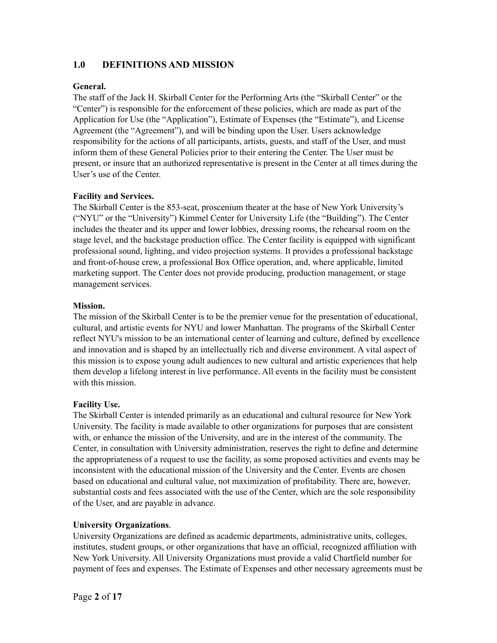## <span id="page-1-0"></span>**1.0 DEFINITIONS AND MISSION**

## **General.**

The staff of the Jack H. Skirball Center for the Performing Arts (the "Skirball Center" or the "Center") is responsible for the enforcement of these policies, which are made as part of the Application for Use (the "Application"), Estimate of Expenses (the "Estimate"), and License Agreement (the "Agreement"), and will be binding upon the User. Users acknowledge responsibility for the actions of all participants, artists, guests, and staff of the User, and must inform them of these General Policies prior to their entering the Center. The User must be present, or insure that an authorized representative is present in the Center at all times during the User's use of the Center.

## **Facility and Services.**

The Skirball Center is the 853-seat, proscenium theater at the base of New York University's ("NYU" or the "University") Kimmel Center for University Life (the "Building"). The Center includes the theater and its upper and lower lobbies, dressing rooms, the rehearsal room on the stage level, and the backstage production office. The Center facility is equipped with significant professional sound, lighting, and video projection systems. It provides a professional backstage and front-of-house crew, a professional Box Office operation, and, where applicable, limited marketing support. The Center does not provide producing, production management, or stage management services.

## **Mission.**

The mission of the Skirball Center is to be the premier venue for the presentation of educational, cultural, and artistic events for NYU and lower Manhattan. The programs of the Skirball Center reflect NYU's mission to be an international center of learning and culture, defined by excellence and innovation and is shaped by an intellectually rich and diverse environment. A vital aspect of this mission is to expose young adult audiences to new cultural and artistic experiences that help them develop a lifelong interest in live performance. All events in the facility must be consistent with this mission.

## **Facility Use.**

The Skirball Center is intended primarily as an educational and cultural resource for New York University. The facility is made available to other organizations for purposes that are consistent with, or enhance the mission of the University, and are in the interest of the community. The Center, in consultation with University administration, reserves the right to define and determine the appropriateness of a request to use the facility, as some proposed activities and events may be inconsistent with the educational mission of the University and the Center. Events are chosen based on educational and cultural value, not maximization of profitability. There are, however, substantial costs and fees associated with the use of the Center, which are the sole responsibility of the User, and are payable in advance.

## **University Organizations**.

University Organizations are defined as academic departments, administrative units, colleges, institutes, student groups, or other organizations that have an official, recognized affiliation with New York University. All University Organizations must provide a valid Chartfield number for payment of fees and expenses. The Estimate of Expenses and other necessary agreements must be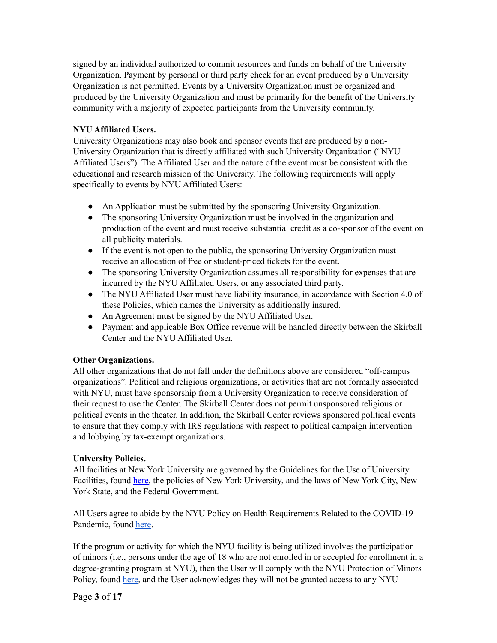signed by an individual authorized to commit resources and funds on behalf of the University Organization. Payment by personal or third party check for an event produced by a University Organization is not permitted. Events by a University Organization must be organized and produced by the University Organization and must be primarily for the benefit of the University community with a majority of expected participants from the University community.

## **NYU Affiliated Users.**

University Organizations may also book and sponsor events that are produced by a non-University Organization that is directly affiliated with such University Organization ("NYU Affiliated Users"). The Affiliated User and the nature of the event must be consistent with the educational and research mission of the University. The following requirements will apply specifically to events by NYU Affiliated Users:

- An Application must be submitted by the sponsoring University Organization.
- The sponsoring University Organization must be involved in the organization and production of the event and must receive substantial credit as a co-sponsor of the event on all publicity materials.
- If the event is not open to the public, the sponsoring University Organization must receive an allocation of free or student-priced tickets for the event.
- The sponsoring University Organization assumes all responsibility for expenses that are incurred by the NYU Affiliated Users, or any associated third party.
- The NYU Affiliated User must have liability insurance, in accordance with Section 4.0 of these Policies, which names the University as additionally insured.
- An Agreement must be signed by the NYU Affiliated User.
- Payment and applicable Box Office revenue will be handled directly between the Skirball Center and the NYU Affiliated User.

## **Other Organizations.**

All other organizations that do not fall under the definitions above are considered "off-campus organizations". Political and religious organizations, or activities that are not formally associated with NYU, must have sponsorship from a University Organization to receive consideration of their request to use the Center. The Skirball Center does not permit unsponsored religious or political events in the theater. In addition, the Skirball Center reviews sponsored political events to ensure that they comply with IRS regulations with respect to political campaign intervention and lobbying by tax-exempt organizations.

## **University Policies.**

All facilities at New York University are governed by the Guidelines for the Use of University Facilities, found [here](https://www.nyu.edu/about/policies-guidelines-compliance/policies-and-guidelines/guidelines-for-the-use-of-university-facilities.html), the policies of New York University, and the laws of New York City, New York State, and the Federal Government.

All Users agree to abide by the NYU Policy on Health Requirements Related to the COVID-19 Pandemic, found [here](https://www.nyu.edu/about/policies-guidelines-compliance/policies-and-guidelines/building-access-policy.html).

If the program or activity for which the NYU facility is being utilized involves the participation of minors (i.e., persons under the age of 18 who are not enrolled in or accepted for enrollment in a degree-granting program at NYU), then the User will comply with the NYU Protection of Minors Policy, found [here](https://www.nyu.edu/about/policies-guidelines-compliance/policies-and-guidelines/protection-of-minors-policy.html), and the User acknowledges they will not be granted access to any NYU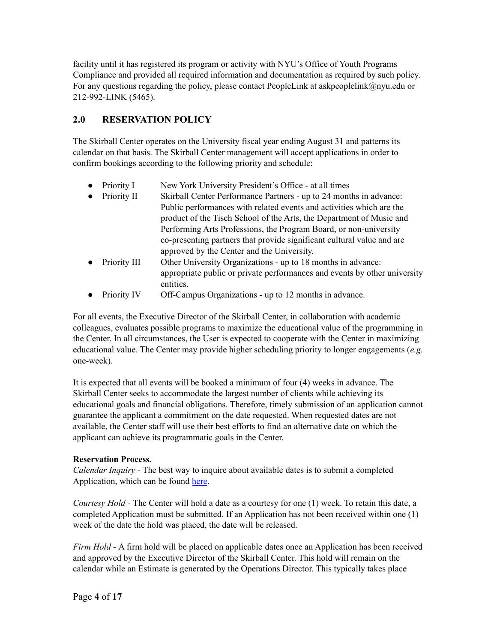facility until it has registered its program or activity with NYU's Office of Youth Programs Compliance and provided all required information and documentation as required by such policy. For any questions regarding the policy, please contact PeopleLink at askpeoplelink@nyu.edu or 212-992-LINK (5465).

## <span id="page-3-0"></span>**2.0 RESERVATION POLICY**

The Skirball Center operates on the University fiscal year ending August 31 and patterns its calendar on that basis. The Skirball Center management will accept applications in order to confirm bookings according to the following priority and schedule:

- Priority I New York University President's Office at all times
- Priority II Skirball Center Performance Partners up to 24 months in advance: Public performances with related events and activities which are the product of the Tisch School of the Arts, the Department of Music and Performing Arts Professions, the Program Board, or non-university co-presenting partners that provide significant cultural value and are approved by the Center and the University.
- Priority III Other University Organizations up to 18 months in advance: appropriate public or private performances and events by other university entities.
- Priority IV Off-Campus Organizations up to 12 months in advance.

For all events, the Executive Director of the Skirball Center, in collaboration with academic colleagues, evaluates possible programs to maximize the educational value of the programming in the Center. In all circumstances, the User is expected to cooperate with the Center in maximizing educational value. The Center may provide higher scheduling priority to longer engagements (*e.g.* one-week).

It is expected that all events will be booked a minimum of four (4) weeks in advance. The Skirball Center seeks to accommodate the largest number of clients while achieving its educational goals and financial obligations. Therefore, timely submission of an application cannot guarantee the applicant a commitment on the date requested. When requested dates are not available, the Center staff will use their best efforts to find an alternative date on which the applicant can achieve its programmatic goals in the Center.

## **Reservation Process.**

*Calendar Inquiry* - The best way to inquire about available dates is to submit a completed Application, which can be found [here](http://www.nyuskirball.org/page/produce/apply).

*Courtesy Hold -* The Center will hold a date as a courtesy for one (1) week. To retain this date, a completed Application must be submitted. If an Application has not been received within one (1) week of the date the hold was placed, the date will be released.

*Firm Hold -* A firm hold will be placed on applicable dates once an Application has been received and approved by the Executive Director of the Skirball Center. This hold will remain on the calendar while an Estimate is generated by the Operations Director. This typically takes place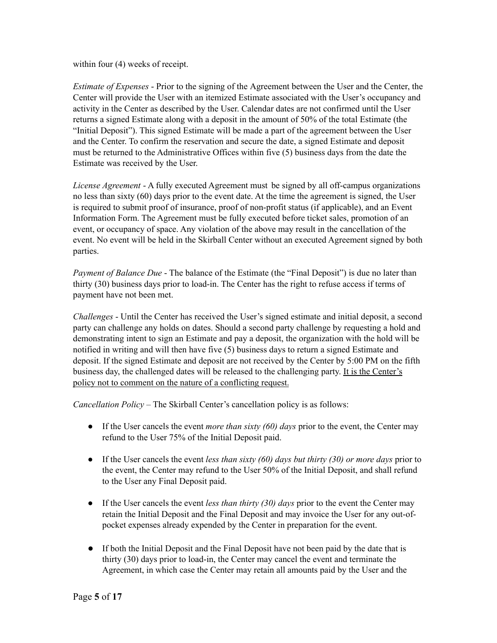within four (4) weeks of receipt.

*Estimate of Expenses* - Prior to the signing of the Agreement between the User and the Center, the Center will provide the User with an itemized Estimate associated with the User's occupancy and activity in the Center as described by the User. Calendar dates are not confirmed until the User returns a signed Estimate along with a deposit in the amount of 50% of the total Estimate (the "Initial Deposit"). This signed Estimate will be made a part of the agreement between the User and the Center. To confirm the reservation and secure the date, a signed Estimate and deposit must be returned to the Administrative Offices within five (5) business days from the date the Estimate was received by the User.

*License Agreement* - A fully executed Agreement must be signed by all off-campus organizations no less than sixty (60) days prior to the event date. At the time the agreement is signed, the User is required to submit proof of insurance, proof of non-profit status (if applicable), and an Event Information Form. The Agreement must be fully executed before ticket sales, promotion of an event, or occupancy of space. Any violation of the above may result in the cancellation of the event. No event will be held in the Skirball Center without an executed Agreement signed by both parties.

*Payment of Balance Due* - The balance of the Estimate (the "Final Deposit") is due no later than thirty (30) business days prior to load-in. The Center has the right to refuse access if terms of payment have not been met.

*Challenges* - Until the Center has received the User's signed estimate and initial deposit, a second party can challenge any holds on dates. Should a second party challenge by requesting a hold and demonstrating intent to sign an Estimate and pay a deposit, the organization with the hold will be notified in writing and will then have five (5) business days to return a signed Estimate and deposit. If the signed Estimate and deposit are not received by the Center by 5:00 PM on the fifth business day, the challenged dates will be released to the challenging party. It is the Center's policy not to comment on the nature of a conflicting request.

*Cancellation Policy* – The Skirball Center's cancellation policy is as follows:

- If the User cancels the event *more than sixty (60) days* prior to the event, the Center may refund to the User 75% of the Initial Deposit paid.
- If the User cancels the event *less than sixty (60) days but thirty (30) or more days* prior to the event, the Center may refund to the User 50% of the Initial Deposit, and shall refund to the User any Final Deposit paid.
- If the User cancels the event *less than thirty (30) days* prior to the event the Center may retain the Initial Deposit and the Final Deposit and may invoice the User for any out-ofpocket expenses already expended by the Center in preparation for the event.
- If both the Initial Deposit and the Final Deposit have not been paid by the date that is thirty (30) days prior to load-in, the Center may cancel the event and terminate the Agreement, in which case the Center may retain all amounts paid by the User and the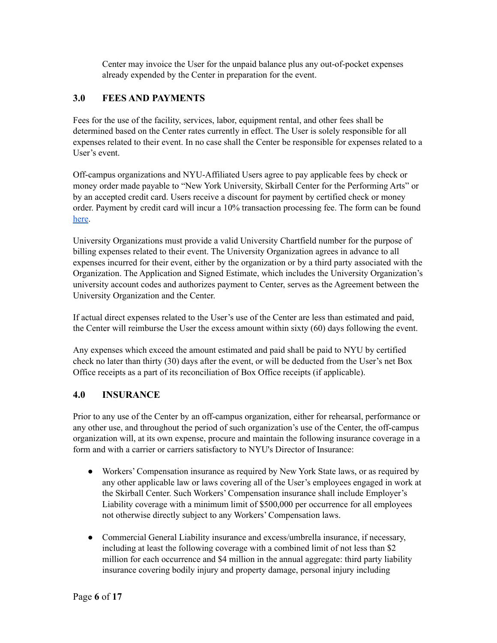Center may invoice the User for the unpaid balance plus any out-of-pocket expenses already expended by the Center in preparation for the event.

## <span id="page-5-0"></span>**3.0 FEES AND PAYMENTS**

Fees for the use of the facility, services, labor, equipment rental, and other fees shall be determined based on the Center rates currently in effect. The User is solely responsible for all expenses related to their event. In no case shall the Center be responsible for expenses related to a User's event.

Off-campus organizations and NYU-Affiliated Users agree to pay applicable fees by check or money order made payable to "New York University, Skirball Center for the Performing Arts" or by an accepted credit card. Users receive a discount for payment by certified check or money order. Payment by credit card will incur a 10% transaction processing fee. The form can be found [here.](https://venue-rental.skirball.nyu.edu/#/)

University Organizations must provide a valid University Chartfield number for the purpose of billing expenses related to their event. The University Organization agrees in advance to all expenses incurred for their event, either by the organization or by a third party associated with the Organization. The Application and Signed Estimate, which includes the University Organization's university account codes and authorizes payment to Center, serves as the Agreement between the University Organization and the Center.

If actual direct expenses related to the User's use of the Center are less than estimated and paid, the Center will reimburse the User the excess amount within sixty (60) days following the event.

Any expenses which exceed the amount estimated and paid shall be paid to NYU by certified check no later than thirty (30) days after the event, or will be deducted from the User's net Box Office receipts as a part of its reconciliation of Box Office receipts (if applicable).

## <span id="page-5-1"></span>**4.0 INSURANCE**

Prior to any use of the Center by an off-campus organization, either for rehearsal, performance or any other use, and throughout the period of such organization's use of the Center, the off-campus organization will, at its own expense, procure and maintain the following insurance coverage in a form and with a carrier or carriers satisfactory to NYU's Director of Insurance:

- Workers' Compensation insurance as required by New York State laws, or as required by any other applicable law or laws covering all of the User's employees engaged in work at the Skirball Center. Such Workers' Compensation insurance shall include Employer's Liability coverage with a minimum limit of \$500,000 per occurrence for all employees not otherwise directly subject to any Workers' Compensation laws.
- Commercial General Liability insurance and excess/umbrella insurance, if necessary, including at least the following coverage with a combined limit of not less than \$2 million for each occurrence and \$4 million in the annual aggregate: third party liability insurance covering bodily injury and property damage, personal injury including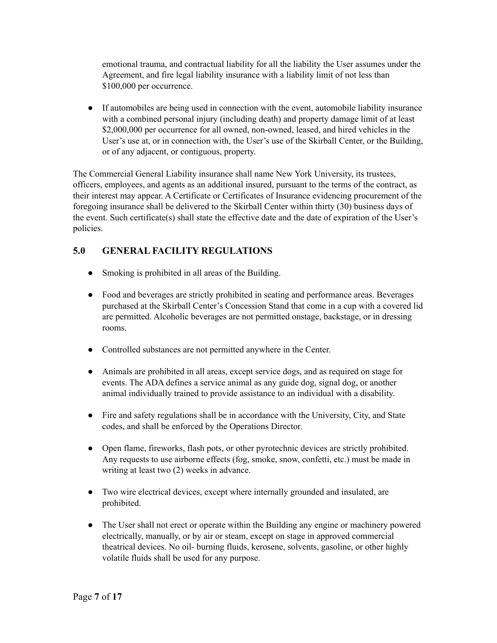emotional trauma, and contractual liability for all the liability the User assumes under the Agreement, and fire legal liability insurance with a liability limit of not less than \$100,000 per occurrence.

● If automobiles are being used in connection with the event, automobile liability insurance with a combined personal injury (including death) and property damage limit of at least \$2,000,000 per occurrence for all owned, non-owned, leased, and hired vehicles in the User's use at, or in connection with, the User's use of the Skirball Center, or the Building, or of any adjacent, or contiguous, property.

The Commercial General Liability insurance shall name New York University, its trustees, officers, employees, and agents as an additional insured, pursuant to the terms of the contract, as their interest may appear. A Certificate or Certificates of Insurance evidencing procurement of the foregoing insurance shall be delivered to the Skirball Center within thirty (30) business days of the event. Such certificate(s) shall state the effective date and the date of expiration of the User's policies.

## <span id="page-6-0"></span>**5.0 GENERAL FACILITY REGULATIONS**

- Smoking is prohibited in all areas of the Building.
- Food and beverages are strictly prohibited in seating and performance areas. Beverages purchased at the Skirball Center's Concession Stand that come in a cup with a covered lid are permitted. Alcoholic beverages are not permitted onstage, backstage, or in dressing rooms.
- Controlled substances are not permitted anywhere in the Center.
- Animals are prohibited in all areas, except service dogs, and as required on stage for events. The ADA defines a service animal as any guide dog, signal dog, or another animal individually trained to provide assistance to an individual with a disability.
- Fire and safety regulations shall be in accordance with the University, City, and State codes, and shall be enforced by the Operations Director.
- Open flame, fireworks, flash pots, or other pyrotechnic devices are strictly prohibited. Any requests to use airborne effects (fog, smoke, snow, confetti, etc.) must be made in writing at least two  $(2)$  weeks in advance.
- Two wire electrical devices, except where internally grounded and insulated, are prohibited.
- The User shall not erect or operate within the Building any engine or machinery powered electrically, manually, or by air or steam, except on stage in approved commercial theatrical devices. No oil- burning fluids, kerosene, solvents, gasoline, or other highly volatile fluids shall be used for any purpose.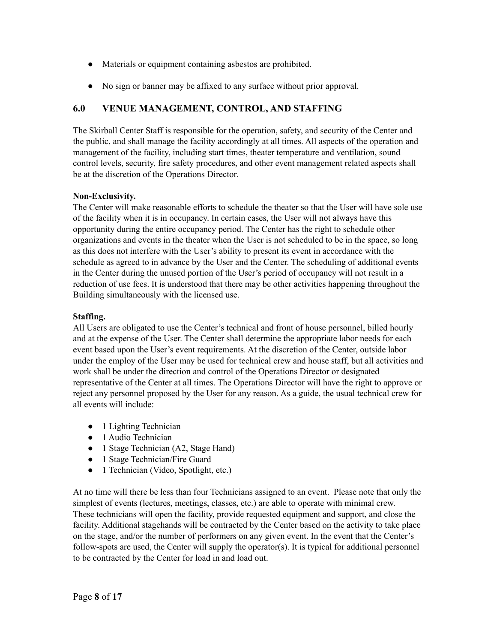- Materials or equipment containing asbestos are prohibited.
- No sign or banner may be affixed to any surface without prior approval.

## <span id="page-7-0"></span>**6.0 VENUE MANAGEMENT, CONTROL, AND STAFFING**

The Skirball Center Staff is responsible for the operation, safety, and security of the Center and the public, and shall manage the facility accordingly at all times. All aspects of the operation and management of the facility, including start times, theater temperature and ventilation, sound control levels, security, fire safety procedures, and other event management related aspects shall be at the discretion of the Operations Director.

## **Non-Exclusivity.**

The Center will make reasonable efforts to schedule the theater so that the User will have sole use of the facility when it is in occupancy. In certain cases, the User will not always have this opportunity during the entire occupancy period. The Center has the right to schedule other organizations and events in the theater when the User is not scheduled to be in the space, so long as this does not interfere with the User's ability to present its event in accordance with the schedule as agreed to in advance by the User and the Center. The scheduling of additional events in the Center during the unused portion of the User's period of occupancy will not result in a reduction of use fees. It is understood that there may be other activities happening throughout the Building simultaneously with the licensed use.

## **Staffing.**

All Users are obligated to use the Center's technical and front of house personnel, billed hourly and at the expense of the User. The Center shall determine the appropriate labor needs for each event based upon the User's event requirements. At the discretion of the Center, outside labor under the employ of the User may be used for technical crew and house staff, but all activities and work shall be under the direction and control of the Operations Director or designated representative of the Center at all times. The Operations Director will have the right to approve or reject any personnel proposed by the User for any reason. As a guide, the usual technical crew for all events will include:

- 1 Lighting Technician
- 1 Audio Technician
- 1 Stage Technician (A2, Stage Hand)
- 1 Stage Technician/Fire Guard
- 1 Technician (Video, Spotlight, etc.)

At no time will there be less than four Technicians assigned to an event. Please note that only the simplest of events (lectures, meetings, classes, etc.) are able to operate with minimal crew. These technicians will open the facility, provide requested equipment and support, and close the facility. Additional stagehands will be contracted by the Center based on the activity to take place on the stage, and/or the number of performers on any given event. In the event that the Center's follow-spots are used, the Center will supply the operator(s). It is typical for additional personnel to be contracted by the Center for load in and load out.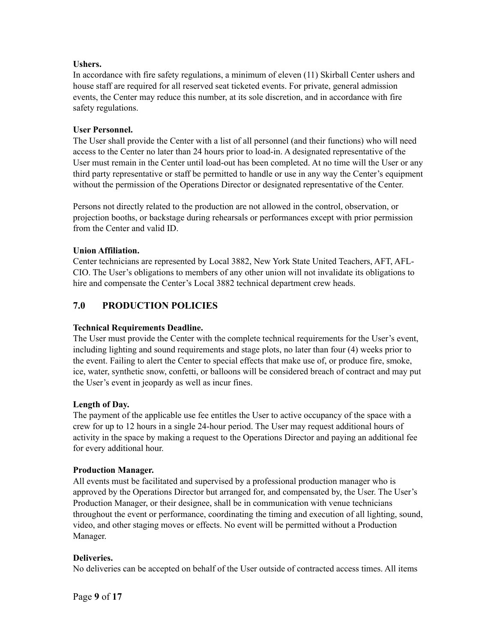#### **Ushers.**

In accordance with fire safety regulations, a minimum of eleven (11) Skirball Center ushers and house staff are required for all reserved seat ticketed events. For private, general admission events, the Center may reduce this number, at its sole discretion, and in accordance with fire safety regulations.

#### **User Personnel.**

The User shall provide the Center with a list of all personnel (and their functions) who will need access to the Center no later than 24 hours prior to load-in. A designated representative of the User must remain in the Center until load-out has been completed. At no time will the User or any third party representative or staff be permitted to handle or use in any way the Center's equipment without the permission of the Operations Director or designated representative of the Center.

Persons not directly related to the production are not allowed in the control, observation, or projection booths, or backstage during rehearsals or performances except with prior permission from the Center and valid ID.

#### **Union Affiliation.**

Center technicians are represented by Local 3882, New York State United Teachers, AFT, AFL-CIO. The User's obligations to members of any other union will not invalidate its obligations to hire and compensate the Center's Local 3882 technical department crew heads.

## <span id="page-8-0"></span>**7.0 PRODUCTION POLICIES**

## **Technical Requirements Deadline.**

The User must provide the Center with the complete technical requirements for the User's event, including lighting and sound requirements and stage plots, no later than four (4) weeks prior to the event. Failing to alert the Center to special effects that make use of, or produce fire, smoke, ice, water, synthetic snow, confetti, or balloons will be considered breach of contract and may put the User's event in jeopardy as well as incur fines.

## **Length of Day.**

The payment of the applicable use fee entitles the User to active occupancy of the space with a crew for up to 12 hours in a single 24-hour period. The User may request additional hours of activity in the space by making a request to the Operations Director and paying an additional fee for every additional hour.

#### **Production Manager.**

All events must be facilitated and supervised by a professional production manager who is approved by the Operations Director but arranged for, and compensated by, the User. The User's Production Manager, or their designee, shall be in communication with venue technicians throughout the event or performance, coordinating the timing and execution of all lighting, sound, video, and other staging moves or effects. No event will be permitted without a Production Manager.

#### **Deliveries.**

No deliveries can be accepted on behalf of the User outside of contracted access times. All items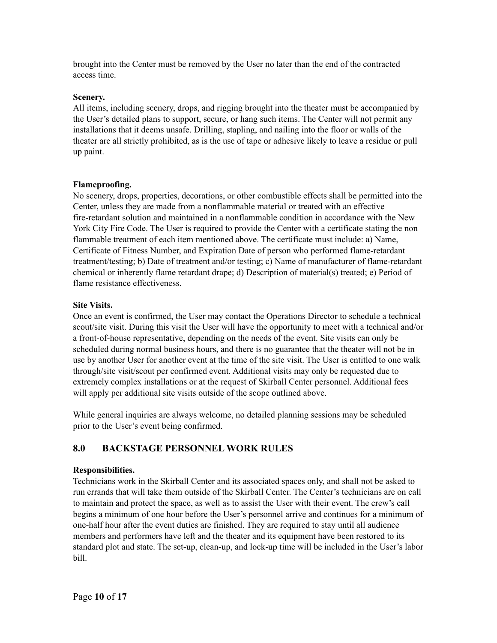brought into the Center must be removed by the User no later than the end of the contracted access time.

#### **Scenery.**

All items, including scenery, drops, and rigging brought into the theater must be accompanied by the User's detailed plans to support, secure, or hang such items. The Center will not permit any installations that it deems unsafe. Drilling, stapling, and nailing into the floor or walls of the theater are all strictly prohibited, as is the use of tape or adhesive likely to leave a residue or pull up paint.

## **Flameproofing.**

No scenery, drops, properties, decorations, or other combustible effects shall be permitted into the Center, unless they are made from a nonflammable material or treated with an effective fire-retardant solution and maintained in a nonflammable condition in accordance with the New York City Fire Code. The User is required to provide the Center with a certificate stating the non flammable treatment of each item mentioned above. The certificate must include: a) Name, Certificate of Fitness Number, and Expiration Date of person who performed flame-retardant treatment/testing; b) Date of treatment and/or testing; c) Name of manufacturer of flame-retardant chemical or inherently flame retardant drape; d) Description of material(s) treated; e) Period of flame resistance effectiveness.

## **Site Visits.**

Once an event is confirmed, the User may contact the Operations Director to schedule a technical scout/site visit. During this visit the User will have the opportunity to meet with a technical and/or a front-of-house representative, depending on the needs of the event. Site visits can only be scheduled during normal business hours, and there is no guarantee that the theater will not be in use by another User for another event at the time of the site visit. The User is entitled to one walk through/site visit/scout per confirmed event. Additional visits may only be requested due to extremely complex installations or at the request of Skirball Center personnel. Additional fees will apply per additional site visits outside of the scope outlined above.

While general inquiries are always welcome, no detailed planning sessions may be scheduled prior to the User's event being confirmed.

## <span id="page-9-0"></span>**8.0 BACKSTAGE PERSONNEL WORK RULES**

## **Responsibilities.**

Technicians work in the Skirball Center and its associated spaces only, and shall not be asked to run errands that will take them outside of the Skirball Center. The Center's technicians are on call to maintain and protect the space, as well as to assist the User with their event. The crew's call begins a minimum of one hour before the User's personnel arrive and continues for a minimum of one-half hour after the event duties are finished. They are required to stay until all audience members and performers have left and the theater and its equipment have been restored to its standard plot and state. The set-up, clean-up, and lock-up time will be included in the User's labor bill.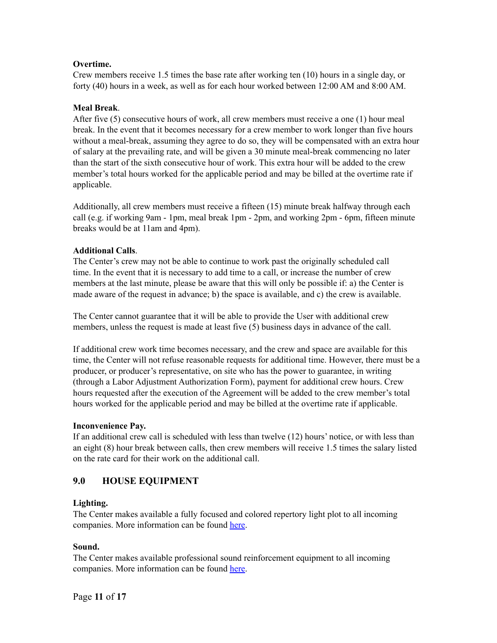#### **Overtime.**

Crew members receive 1.5 times the base rate after working ten (10) hours in a single day, or forty (40) hours in a week, as well as for each hour worked between 12:00 AM and 8:00 AM.

#### **Meal Break**.

After five (5) consecutive hours of work, all crew members must receive a one (1) hour meal break. In the event that it becomes necessary for a crew member to work longer than five hours without a meal-break, assuming they agree to do so, they will be compensated with an extra hour of salary at the prevailing rate, and will be given a 30 minute meal-break commencing no later than the start of the sixth consecutive hour of work. This extra hour will be added to the crew member's total hours worked for the applicable period and may be billed at the overtime rate if applicable.

Additionally, all crew members must receive a fifteen (15) minute break halfway through each call (e.g. if working 9am - 1pm, meal break 1pm - 2pm, and working 2pm - 6pm, fifteen minute breaks would be at 11am and 4pm).

#### **Additional Calls**.

The Center's crew may not be able to continue to work past the originally scheduled call time. In the event that it is necessary to add time to a call, or increase the number of crew members at the last minute, please be aware that this will only be possible if: a) the Center is made aware of the request in advance; b) the space is available, and c) the crew is available.

The Center cannot guarantee that it will be able to provide the User with additional crew members, unless the request is made at least five (5) business days in advance of the call.

If additional crew work time becomes necessary, and the crew and space are available for this time, the Center will not refuse reasonable requests for additional time. However, there must be a producer, or producer's representative, on site who has the power to guarantee, in writing (through a Labor Adjustment Authorization Form), payment for additional crew hours. Crew hours requested after the execution of the Agreement will be added to the crew member's total hours worked for the applicable period and may be billed at the overtime rate if applicable.

#### **Inconvenience Pay.**

If an additional crew call is scheduled with less than twelve (12) hours' notice, or with less than an eight (8) hour break between calls, then crew members will receive 1.5 times the salary listed on the rate card for their work on the additional call.

## <span id="page-10-0"></span>**9.0 HOUSE EQUIPMENT**

## **Lighting.**

The Center makes available a fully focused and colored repertory light plot to all incoming companies. More information can be found [here](https://nyuskirball.org/about/technical-specifications/).

## **Sound.**

The Center makes available professional sound reinforcement equipment to all incoming companies. More information can be found [here](https://nyuskirball.org/about/technical-specifications/).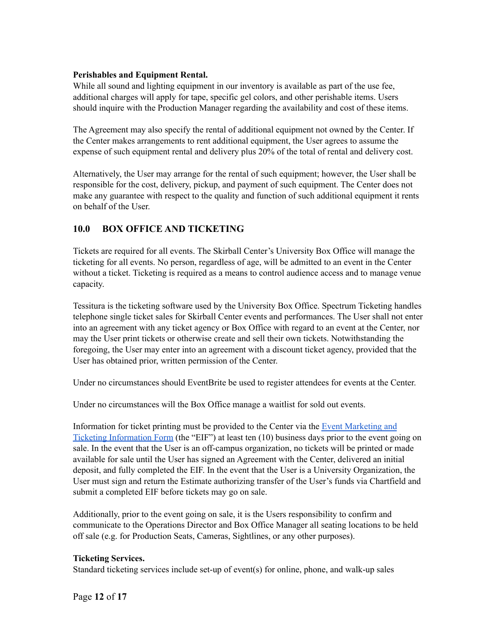#### **Perishables and Equipment Rental.**

While all sound and lighting equipment in our inventory is available as part of the use fee, additional charges will apply for tape, specific gel colors, and other perishable items. Users should inquire with the Production Manager regarding the availability and cost of these items.

The Agreement may also specify the rental of additional equipment not owned by the Center. If the Center makes arrangements to rent additional equipment, the User agrees to assume the expense of such equipment rental and delivery plus 20% of the total of rental and delivery cost.

Alternatively, the User may arrange for the rental of such equipment; however, the User shall be responsible for the cost, delivery, pickup, and payment of such equipment. The Center does not make any guarantee with respect to the quality and function of such additional equipment it rents on behalf of the User.

## <span id="page-11-0"></span>**10.0 BOX OFFICE AND TICKETING**

Tickets are required for all events. The Skirball Center's University Box Office will manage the ticketing for all events. No person, regardless of age, will be admitted to an event in the Center without a ticket. Ticketing is required as a means to control audience access and to manage venue capacity.

Tessitura is the ticketing software used by the University Box Office. Spectrum Ticketing handles telephone single ticket sales for Skirball Center events and performances. The User shall not enter into an agreement with any ticket agency or Box Office with regard to an event at the Center, nor may the User print tickets or otherwise create and sell their own tickets. Notwithstanding the foregoing, the User may enter into an agreement with a discount ticket agency, provided that the User has obtained prior, written permission of the Center.

Under no circumstances should EventBrite be used to register attendees for events at the Center.

Under no circumstances will the Box Office manage a waitlist for sold out events.

Information for ticket printing must be provided to the Center via the Event [Marketing](https://nyuskirball.org/about/rent/event-marketing-ticketing-information-form/) and Ticketing [Information](https://nyuskirball.org/about/rent/event-marketing-ticketing-information-form/) Form (the "EIF") at least ten (10) business days prior to the event going on sale. In the event that the User is an off-campus organization, no tickets will be printed or made available for sale until the User has signed an Agreement with the Center, delivered an initial deposit, and fully completed the EIF. In the event that the User is a University Organization, the User must sign and return the Estimate authorizing transfer of the User's funds via Chartfield and submit a completed EIF before tickets may go on sale.

Additionally, prior to the event going on sale, it is the Users responsibility to confirm and communicate to the Operations Director and Box Office Manager all seating locations to be held off sale (e.g. for Production Seats, Cameras, Sightlines, or any other purposes).

## **Ticketing Services.**

Standard ticketing services include set-up of event(s) for online, phone, and walk-up sales

Page **12** of **17**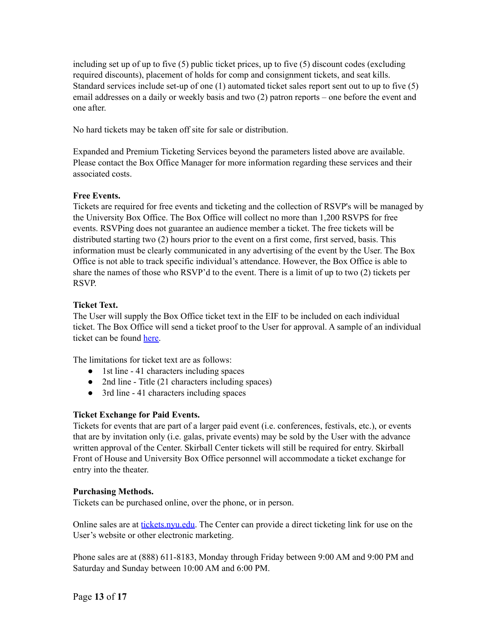including set up of up to five (5) public ticket prices, up to five (5) discount codes (excluding required discounts), placement of holds for comp and consignment tickets, and seat kills. Standard services include set-up of one (1) automated ticket sales report sent out to up to five (5) email addresses on a daily or weekly basis and two (2) patron reports – one before the event and one after.

No hard tickets may be taken off site for sale or distribution.

Expanded and Premium Ticketing Services beyond the parameters listed above are available. Please contact the Box Office Manager for more information regarding these services and their associated costs.

#### **Free Events.**

Tickets are required for free events and ticketing and the collection of RSVP's will be managed by the University Box Office. The Box Office will collect no more than 1,200 RSVPS for free events. RSVPing does not guarantee an audience member a ticket. The free tickets will be distributed starting two (2) hours prior to the event on a first come, first served, basis. This information must be clearly communicated in any advertising of the event by the User. The Box Office is not able to track specific individual's attendance. However, the Box Office is able to share the names of those who RSVP'd to the event. There is a limit of up to two (2) tickets per RSVP.

## **Ticket Text.**

The User will supply the Box Office ticket text in the EIF to be included on each individual ticket. The Box Office will send a ticket proof to the User for approval. A sample of an individual ticket can be found [here.](https://www.screencast.com/t/nNJ1eMBr)

The limitations for ticket text are as follows:

- 1st line 41 characters including spaces
- 2nd line Title (21 characters including spaces)
- 3rd line 41 characters including spaces

## **Ticket Exchange for Paid Events.**

Tickets for events that are part of a larger paid event (i.e. conferences, festivals, etc.), or events that are by invitation only (i.e. galas, private events) may be sold by the User with the advance written approval of the Center. Skirball Center tickets will still be required for entry. Skirball Front of House and University Box Office personnel will accommodate a ticket exchange for entry into the theater.

## **Purchasing Methods.**

Tickets can be purchased online, over the phone, or in person.

Online sales are at [tickets.nyu.edu](https://tickets.nyu.edu/events). The Center can provide a direct ticketing link for use on the User's website or other electronic marketing.

Phone sales are at (888) 611-8183, Monday through Friday between 9:00 AM and 9:00 PM and Saturday and Sunday between 10:00 AM and 6:00 PM.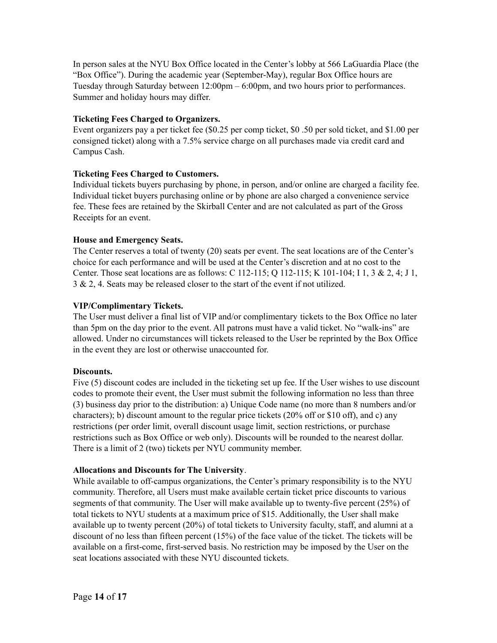In person sales at the NYU Box Office located in the Center's lobby at 566 LaGuardia Place (the "Box Office"). During the academic year (September-May), regular Box Office hours are Tuesday through Saturday between 12:00pm – 6:00pm, and two hours prior to performances. Summer and holiday hours may differ.

#### **Ticketing Fees Charged to Organizers.**

Event organizers pay a per ticket fee (\$0.25 per comp ticket, \$0 .50 per sold ticket, and \$1.00 per consigned ticket) along with a 7.5% service charge on all purchases made via credit card and Campus Cash.

#### **Ticketing Fees Charged to Customers.**

Individual tickets buyers purchasing by phone, in person, and/or online are charged a facility fee. Individual ticket buyers purchasing online or by phone are also charged a convenience service fee. These fees are retained by the Skirball Center and are not calculated as part of the Gross Receipts for an event.

#### **House and Emergency Seats.**

The Center reserves a total of twenty (20) seats per event. The seat locations are of the Center's choice for each performance and will be used at the Center's discretion and at no cost to the Center. Those seat locations are as follows: C 112-115; Q 112-115; K 101-104; I 1, 3 & 2, 4; J 1, 3 & 2, 4. Seats may be released closer to the start of the event if not utilized.

#### **VIP/Complimentary Tickets.**

The User must deliver a final list of VIP and/or complimentary tickets to the Box Office no later than 5pm on the day prior to the event. All patrons must have a valid ticket. No "walk-ins" are allowed. Under no circumstances will tickets released to the User be reprinted by the Box Office in the event they are lost or otherwise unaccounted for.

#### **Discounts.**

Five (5) discount codes are included in the ticketing set up fee. If the User wishes to use discount codes to promote their event, the User must submit the following information no less than three (3) business day prior to the distribution: a) Unique Code name (no more than 8 numbers and/or characters); b) discount amount to the regular price tickets (20% off or \$10 off), and c) any restrictions (per order limit, overall discount usage limit, section restrictions, or purchase restrictions such as Box Office or web only). Discounts will be rounded to the nearest dollar. There is a limit of 2 (two) tickets per NYU community member.

#### **Allocations and Discounts for The University**.

While available to off-campus organizations, the Center's primary responsibility is to the NYU community. Therefore, all Users must make available certain ticket price discounts to various segments of that community. The User will make available up to twenty-five percent (25%) of total tickets to NYU students at a maximum price of \$15. Additionally, the User shall make available up to twenty percent (20%) of total tickets to University faculty, staff, and alumni at a discount of no less than fifteen percent (15%) of the face value of the ticket. The tickets will be available on a first-come, first-served basis. No restriction may be imposed by the User on the seat locations associated with these NYU discounted tickets.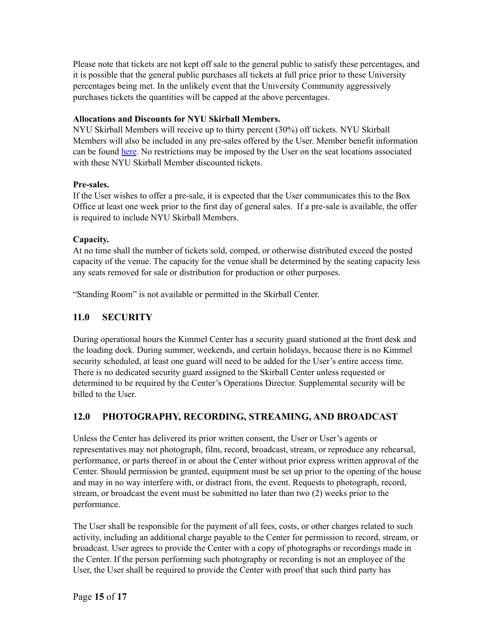Please note that tickets are not kept off sale to the general public to satisfy these percentages, and it is possible that the general public purchases all tickets at full price prior to these University percentages being met. In the unlikely event that the University Community aggressively purchases tickets the quantities will be capped at the above percentages.

## **Allocations and Discounts for NYU Skirball Members.**

NYU Skirball Members will receive up to thirty percent (30%) off tickets. NYU Skirball Members will also be included in any pre-sales offered by the User. Member benefit information can be found [here](https://nyuskirball.org/support/become-a-member/). No restrictions may be imposed by the User on the seat locations associated with these NYU Skirball Member discounted tickets.

## **Pre-sales.**

If the User wishes to offer a pre-sale, it is expected that the User communicates this to the Box Office at least one week prior to the first day of general sales. If a pre-sale is available, the offer is required to include NYU Skirball Members.

## **Capacity.**

At no time shall the number of tickets sold, comped, or otherwise distributed exceed the posted capacity of the venue. The capacity for the venue shall be determined by the seating capacity less any seats removed for sale or distribution for production or other purposes.

"Standing Room" is not available or permitted in the Skirball Center.

## <span id="page-14-0"></span>**11.0 SECURITY**

During operational hours the Kimmel Center has a security guard stationed at the front desk and the loading dock. During summer, weekends, and certain holidays, because there is no Kimmel security scheduled, at least one guard will need to be added for the User's entire access time. There is no dedicated security guard assigned to the Skirball Center unless requested or determined to be required by the Center's Operations Director. Supplemental security will be billed to the User.

## <span id="page-14-1"></span>**12.0 PHOTOGRAPHY, RECORDING, STREAMING, AND BROADCAST**

Unless the Center has delivered its prior written consent, the User or User's agents or representatives may not photograph, film, record, broadcast, stream, or reproduce any rehearsal, performance, or parts thereof in or about the Center without prior express written approval of the Center. Should permission be granted, equipment must be set up prior to the opening of the house and may in no way interfere with, or distract from, the event. Requests to photograph, record, stream, or broadcast the event must be submitted no later than two (2) weeks prior to the performance.

The User shall be responsible for the payment of all fees, costs, or other charges related to such activity, including an additional charge payable to the Center for permission to record, stream, or broadcast. User agrees to provide the Center with a copy of photographs or recordings made in the Center. If the person performing such photography or recording is not an employee of the User, the User shall be required to provide the Center with proof that such third party has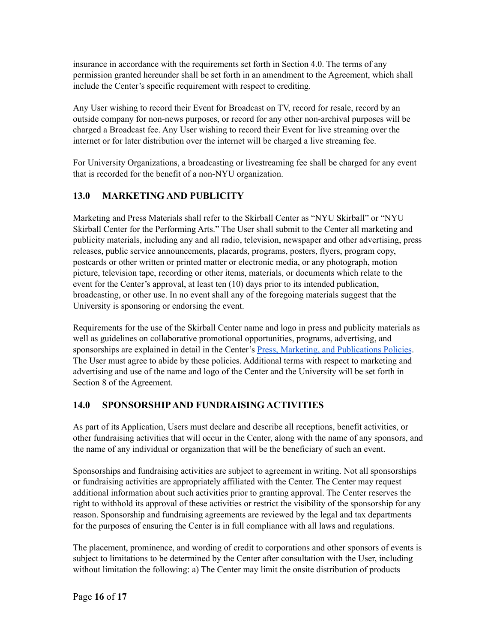insurance in accordance with the requirements set forth in Section 4.0. The terms of any permission granted hereunder shall be set forth in an amendment to the Agreement, which shall include the Center's specific requirement with respect to crediting.

Any User wishing to record their Event for Broadcast on TV, record for resale, record by an outside company for non-news purposes, or record for any other non-archival purposes will be charged a Broadcast fee. Any User wishing to record their Event for live streaming over the internet or for later distribution over the internet will be charged a live streaming fee.

For University Organizations, a broadcasting or livestreaming fee shall be charged for any event that is recorded for the benefit of a non-NYU organization.

## <span id="page-15-0"></span>**13.0 MARKETING AND PUBLICITY**

Marketing and Press Materials shall refer to the Skirball Center as "NYU Skirball" or "NYU Skirball Center for the Performing Arts." The User shall submit to the Center all marketing and publicity materials, including any and all radio, television, newspaper and other advertising, press releases, public service announcements, placards, programs, posters, flyers, program copy, postcards or other written or printed matter or electronic media, or any photograph, motion picture, television tape, recording or other items, materials, or documents which relate to the event for the Center's approval, at least ten (10) days prior to its intended publication, broadcasting, or other use. In no event shall any of the foregoing materials suggest that the University is sponsoring or endorsing the event.

Requirements for the use of the Skirball Center name and logo in press and publicity materials as well as guidelines on collaborative promotional opportunities, programs, advertising, and sponsorships are explained in detail in the Center's Press, Marketing, and [Publications](http://2b2jmf1sjj8t11xy454c3w9g-wpengine.netdna-ssl.com/wp-content/uploads/2018/10/NYU-Skirball_Marketing-and-Press-Policies_OCT_2018-.pdf) Policies. The User must agree to abide by these policies. Additional terms with respect to marketing and advertising and use of the name and logo of the Center and the University will be set forth in Section 8 of the Agreement.

## <span id="page-15-1"></span>**14.0 SPONSORSHIP AND FUNDRAISING ACTIVITIES**

As part of its Application, Users must declare and describe all receptions, benefit activities, or other fundraising activities that will occur in the Center, along with the name of any sponsors, and the name of any individual or organization that will be the beneficiary of such an event.

Sponsorships and fundraising activities are subject to agreement in writing. Not all sponsorships or fundraising activities are appropriately affiliated with the Center. The Center may request additional information about such activities prior to granting approval. The Center reserves the right to withhold its approval of these activities or restrict the visibility of the sponsorship for any reason. Sponsorship and fundraising agreements are reviewed by the legal and tax departments for the purposes of ensuring the Center is in full compliance with all laws and regulations.

The placement, prominence, and wording of credit to corporations and other sponsors of events is subject to limitations to be determined by the Center after consultation with the User, including without limitation the following: a) The Center may limit the onsite distribution of products